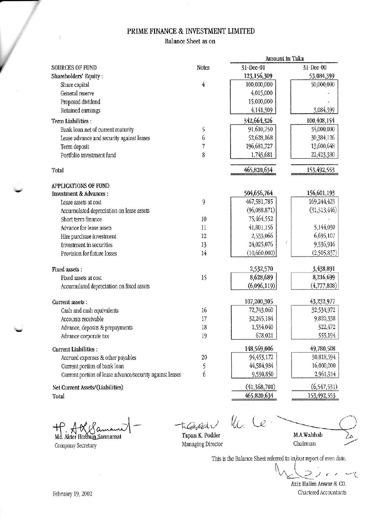# PRIME FINANCE & INVESTMENT LIMITED

Balance Sheet as on

|                                                          |                | Amount in Taka |               |
|----------------------------------------------------------|----------------|----------------|---------------|
| <b>SOURCES OF FUND</b>                                   | <b>Notes</b>   | 31-Dec-01      | 31-Dec-00     |
| Shareholders' Equity:                                    |                | 123,156,309    | 53,084,399    |
| Share capital                                            | $\overline{4}$ | 100,000,000    | 50,000,000    |
| General reserve                                          |                | 4,015,000      |               |
| Proposed dividend                                        |                | 15,000,000     |               |
| Retained earnings                                        |                | 4,141,309      | 3,084,399     |
| Term Liabilities :                                       |                | 342,664,326    | 100,408,154   |
| Bank loan net of current maturity                        | 5              | 91,610,750     | 34,000,000    |
| Lease advance and security against leases                | 6              | 52,628,168     | 30,384,126    |
| Term deposit                                             | 7              | 196, 681, 727  | 13,600,648    |
| Portfolio investment fund                                | 8              | 1,743,681      | 22,423,380    |
| Total                                                    |                | 465,820,634    | 153,492,553   |
| <b>APPLICATIONS OF FUND</b>                              |                |                |               |
| <b>Investment &amp; Advances:</b>                        |                | 504,656,764    | 156,601,193   |
| Lease assets at cost                                     | 9              | 467,581,785    | 169,244,423   |
| Accumulated depreciation on lease assets                 |                | (96,088,871)   | (31,313,446)  |
| Short term finance                                       | 10             | 75,464,552     |               |
| Advance for lease assets                                 | 11             | 41,801,156     | 5,144,030     |
| Hire purchase investment                                 | 12             | 2,533,066      | 6,695,107     |
| Investment in securities                                 | 13             | 24,025,076     | 9,336,916     |
| Provision for future losses                              | 14             | (10,660,000)   | (2,505,837)   |
| Fixed assets:                                            |                | 2,532,570      | 3,438,891     |
| Fixed assets at cost                                     | 15             | 8,628,689      | 8,216,699     |
| Accumulated depreciation on fixed assets                 |                | (6,096,119)    | (4,777,808)   |
| Current assets :                                         |                | 107,200,305    | 43,232,977    |
| Cash and cash equivalents                                | 16             | 72,743,060     | 32,534,972    |
| Accounts receivable                                      | 17             | 32,245,184     | 9,820,338     |
| Advance, deposits & prepayments                          | 18             | 1,534,040      | 322,472       |
| Advance corporate tax                                    | 19             | 678,021        | 555,194       |
| <b>Current Liabilities:</b>                              |                | 148,569,006    | 49,780,508    |
| Accrued expenses & other payables                        | 20             | 94,453,172     | 30,818,594    |
| Current portion of bank loan                             | 5              | 44,584,984     | 16,000,000    |
| Current portion of lease advance/security against leases | 6              | 9,530,850      | 2,961,914     |
| Net Current Assets/(Liabilities)                         |                | (41,368,701)   | (6, 547, 531) |
| Total                                                    |                | 465,820,634    | 153,492,553   |

┱ Md. Akter Hossain Sannamat

Company Secretary

Theoder

Kc. Ce M.A.Wahhab

Tapan K. Podder Managing Director

Chairman

This is the Balance Sheet referred to in/our report of even date. L  $\epsilon$ Aziz Halim Anwar & CO.

Chartered Accountants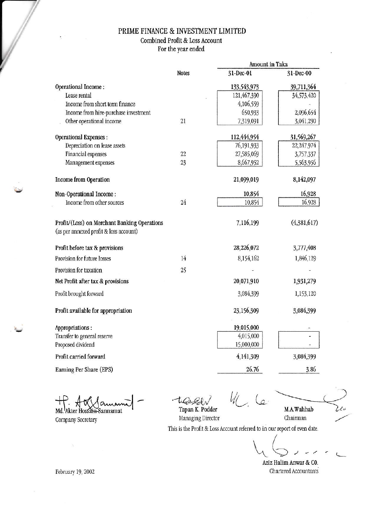## PRIME FINANCE & INVESTMENT LIMITED

Combined Profit & Loss Account

For the year ended

|                                                                                        |              |             | Amount in Taka |  |
|----------------------------------------------------------------------------------------|--------------|-------------|----------------|--|
|                                                                                        | <b>Notes</b> | 31-Dec-01   | 31-Dec-00      |  |
| Operational Income:                                                                    |              | 133,543,973 | 39,711,364     |  |
| Lease rental                                                                           |              | 121,467,390 | 34,573,420     |  |
| Income from short term finance                                                         |              | 4,106,559   |                |  |
| Income from hire-purchase investment                                                   |              | 650,933     | 2,096,654      |  |
| Other operational income                                                               | 21           | 7,319,091   | 3,041,290      |  |
| <b>Operational Expenses:</b>                                                           |              | 112,444,954 | 31,569,267     |  |
| Depreciation on lease assets                                                           |              | 76,191,933  | 22,247,974     |  |
| Financial expenses                                                                     | 22           | 27,585,069  | 3,757,337      |  |
| Management expenses                                                                    | 23           | 8,667,952   | 5,563,956      |  |
| Income from Operation                                                                  |              | 21,099,019  | 8,142,097      |  |
| Non-Operational Income:                                                                |              | 10,854      | 16,928         |  |
| Income from other sources                                                              | 24           | 10,854      | 16,928         |  |
| Profit/(Loss) on Merchant Banking Operations<br>(as per annexed profit & loss account) |              | 7,116,199   | (4,381,617)    |  |
|                                                                                        |              |             |                |  |
| Profit before tax & provisions                                                         |              | 28,226,072  | 3,777,408      |  |
| Provision for future losses                                                            | 14           | 8,154,162   | 1,846,129      |  |
| Provision for taxation                                                                 | 25           |             |                |  |
| Net Profit after tax & provisions                                                      |              | 20,071,910  | 1,931,279      |  |
| Profit brought forward                                                                 |              | 3,084,399   | 1,153,120      |  |
| Profit available for appropriation                                                     |              | 23,156,309  | 3,084,399      |  |
| Appropriations:                                                                        |              | 19,015,000  |                |  |
| Transfer to general reserve                                                            |              | 4,015,000   |                |  |
| Proposed dividend                                                                      |              | 15,000,000  |                |  |
| Profit carried forward                                                                 |              | 4,141,309   | 3,084,399      |  |
| Earning Per Share (EPS)                                                                |              | 26.76       | 3.86           |  |

Md. Akter Hossain-Sannamat

Company Secretary

 $\psi$  (e

M.A.Wahhab

Tapan K. Podder Managing Director

Chairman

This is the Profit & Loss Account referred to in our report of even date.

Aziz Halim Anwar & C0. Chartered Accountants

February 19, 2002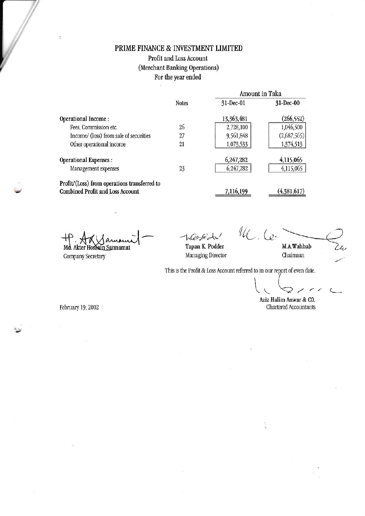# PRIME FINANCE & INVESTMENT LIMITED Profit and Loss Account (Merchant Banking Operations) For the year ended

|                                              | <b>Notes</b> | Amount in Taka |               |
|----------------------------------------------|--------------|----------------|---------------|
|                                              |              | $31 - Dec-01$  | $31 - Dec-00$ |
| Operational Income:                          |              | 13,363,481     | (266, 552)    |
| Fees, Commission etc.                        | 26           | 2,728,100      | 1,046,500     |
| Income/ (loss) from sale of securities       | 27           | 9,561,848      | (2,687,565)   |
| Other operational income                     | 21           | 1,073,533      | 1,374,513     |
| <b>Operational Expenses:</b>                 |              | 6,247,282      | 4,115,065     |
| Management expenses                          | 23           | 6,247,282      | 4,115,065     |
| Profit/(Loss) from operations transferred to |              |                |               |
| <b>Combined Profit and Loss Account</b>      |              | 7,116,199      | (4,381,617)   |

Md. Akter Hossain Sannamat

Company Secretary

 $\mathcal{U}_{\mathcal{L}}$ , Le. M.A.Wahhab

Tapan K. Podder Managing Director

Chairman

This is the Profit & Loss Account referred to in our report of even date.

February 19, 2002

Aziz Halim Anwar & CO. Chartered Accountants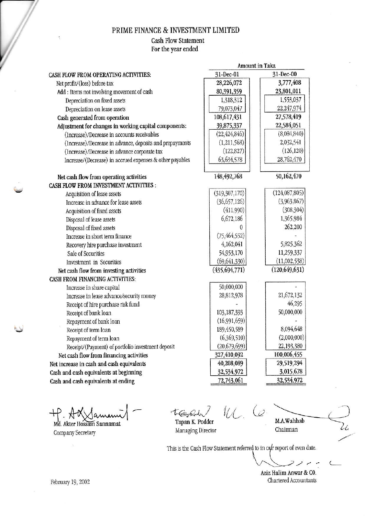#### PRIME FINANCE & INVESTMENT LIMITED

## **Cash Flow Statement**

For the year ended

|                                                          | Amount in Taka  |                 |
|----------------------------------------------------------|-----------------|-----------------|
| CASH FLOW FROM OPERATING ACTIVITIES:                     | 31-Dec-01       | 31-Dec-00       |
| Net profit/(loss) before tax                             | 28,226,072      | 3,777,408       |
| Add : Items not involving movement of cash               | 80,391,359      | 23,801,011      |
| Depreciation on fixed assets                             | 1,318,312       | 1,553,037       |
| Depreciation on lease assets                             | 79,073,047      | 22,247,974      |
| Cash generated from operation                            | 108,617,431     | 27,578,419      |
| Adjustment for changes in working capital components:    | 39,875,337      | 22,584,051      |
| (Increase)/Decrease in accounts receivables              | (22, 424, 846)  | (8,084,840)     |
| (Increase)/Decrease in advance, deposits and prepayments | (1,211,568)     | 2,032,541       |
| (Increase)/Decrease in advance corporate tax             | (122, 827)      | (126, 120)      |
| Increase/(Decrease) in accrued expenses & other payables | 63,634,578      | 28,762,470      |
| Net cash flow from operating activities                  | 148, 492, 768   | 50,162,470      |
| CASH FLOW FROM INVESTMENT ACTIVITIES :                   |                 |                 |
| Acquisition of lease assets                              | (319, 307, 170) | (124,087,805)   |
| Increase in advance for lease assets                     | (36, 657, 126)  | (3,963,867)     |
| Acquisition of fixed assets                              | (411,990)       | (308, 304)      |
| Disposal of lease assets                                 | 6,672,186       | 1,365,984       |
| Disposal of fixed assets                                 |                 | 262,200         |
| Increase in short term finance                           | (75, 464, 552)  |                 |
| Recovery hire purchase investment                        | 4,162,041       | 5,825,362       |
| Sale of Securities                                       | 54,953,170      | 11,259,337      |
| Investment in Securities                                 | (69, 641, 330)  | (11,002,538)    |
| Net cash flow from investing activities                  | (435, 694, 771) | (120, 649, 631) |
| CASH FROM FINANCING ACTIVITIES:                          |                 |                 |
| Increase in share capital                                | 50,000,000      |                 |
| Increase in lease advance/security money                 | 28,812,978      | 21,672,132      |
| Receipt of hire purchase risk fund                       |                 | 46,295          |
| Receipt of bank loan                                     | 103,187,393     | 50,000,000      |
| Repayment of bank loan                                   | (16,991,659)    |                 |
| Receipt of term loan                                     | 189,450,589     | 8,094,648       |
| Repayment of term loan                                   | (6,369,510)     | (2,000,000)     |
| Receipt/(Payment) of portfolio investment deposit        | (20, 679, 699)  | 22,193,380      |
| Net cash flow from financing activities                  | 327,410,092     | 100,006,455     |
| Net increase in cash and cash equivalents                | 40,208,089      | 29,519,294      |
| Cash and cash equivalents at beginning                   | 32,534,972      | 3,015,678       |
| Cash and cash equivalents at ending                      | 72,743,061      | 32,534,972      |

Md. Akter Hossain Sannamat Company Secretary

 $\mathcal{U}_{\mathcal{L}}$ tept. Tapan K. Podder

Managing Director

 $\overline{c}$ M.A.Wahhab Chairman

This is the Cash Flow Statement referred to in our report of even date.

っ  $\epsilon$ 

Li

 $\overline{C}$ 

Aziz Halim Anwar & C0. Chartered Accountants

February 19, 2002

 $\cdot$